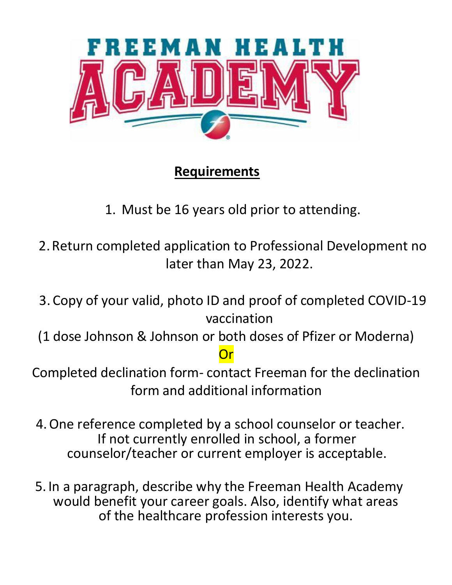

# **Requirements**

- 1. Must be 16 years old prior to attending.
- 2. Return completed application to Professional Development no later than May 23, 2022.
- 3. Copy of your valid, photo ID and proof of completed COVID-19 vaccination
- (1 dose Johnson & Johnson or both doses of Pfizer or Moderna) Or
- Completed declination form- contact Freeman for the declination form and additional information
- 4.One reference completed by a school counselor or teacher. If not currently enrolled in school, a former counselor/teacher or current employer is acceptable.
- 5. In a paragraph, describe why the Freeman Health Academy would benefit your career goals. Also, identify what areas of the healthcare profession interests you.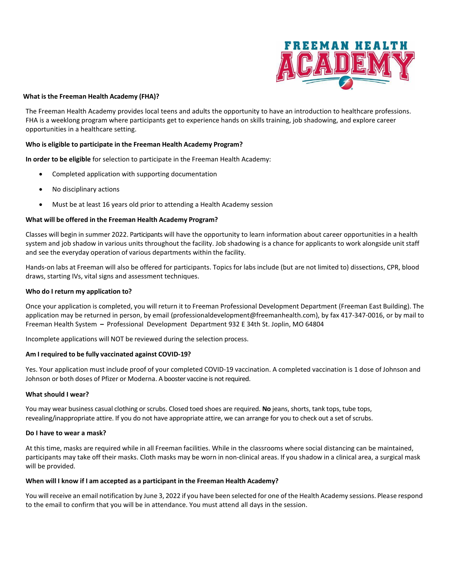

## **What is the Freeman Health Academy (FHA)?**

The Freeman Health Academy provides local teens and adults the opportunity to have an introduction to healthcare professions. FHA is a weeklong program where participants get to experience hands on skills training, job shadowing, and explore career opportunities in a healthcare setting.

## **Who is eligible to participate in the Freeman Health Academy Program?**

**In order to be eligible** for selection to participate in the Freeman Health Academy:

- Completed application with supporting documentation
- No disciplinary actions
- Must be at least 16 years old prior to attending a Health Academy session

#### **What will be offered in the Freeman Health Academy Program?**

Classes will begin in summer 2022. Participants will have the opportunity to learn information about career opportunities in a health system and job shadow in various units throughout the facility. Job shadowing is a chance for applicants to work alongside unit staff and see the everyday operation of various departments within the facility.

Hands-on labs at Freeman will also be offered for participants. Topics for labs include (but are not limited to) dissections, CPR, blood draws, starting IVs, vital signs and assessment techniques.

#### **Who do I return my application to?**

Once your application is completed, you will return it to Freeman Professional Development Department (Freeman East Building). The application may be returned in person, by email (professionaldevelopment@freemanhealth.com), by fax 417-347-0016, or by mail to Freeman Health System **–** Professional Development Department 932 E 34th St. Joplin, MO 64804

Incomplete applications will NOT be reviewed during the selection process.

#### **Am I required to be fully vaccinated against COVID-19?**

Yes. Your application must include proof of your completed COVID-19 vaccination. A completed vaccination is 1 dose of Johnson and Johnson or both doses of Pfizer or Moderna. A booster vaccine is not required.

#### **What should I wear?**

You may wear business casual clothing or scrubs. Closed toed shoes are required. **No** jeans, shorts, tank tops, tube tops, revealing/inappropriate attire. If you do not have appropriate attire, we can arrange for you to check out a set of scrubs.

#### **Do I have to wear a mask?**

At this time, masks are required while in all Freeman facilities. While in the classrooms where social distancing can be maintained, participants may take off their masks. Cloth masks may be worn in non-clinical areas. If you shadow in a clinical area, a surgical mask will be provided.

#### **When will I know if I am accepted as a participant in the Freeman Health Academy?**

You will receive an email notification by June 3, 2022 if you have been selected for one of the Health Academy sessions. Please respond to the email to confirm that you will be in attendance. You must attend all days in the session.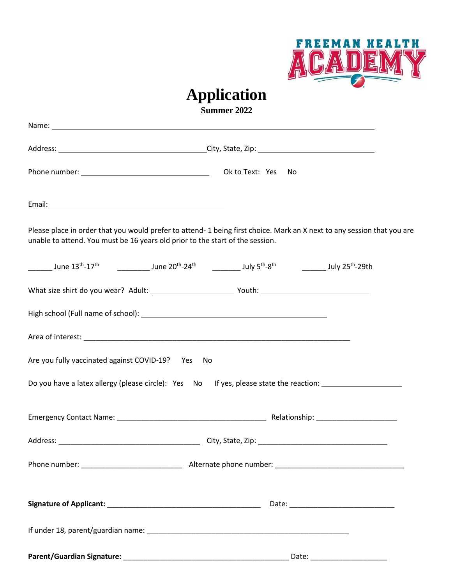

**Application**

**Summer 2022**

| unable to attend. You must be 16 years old prior to the start of the session.                                                                                                                                       | Please place in order that you would prefer to attend-1 being first choice. Mark an X next to any session that you are |
|---------------------------------------------------------------------------------------------------------------------------------------------------------------------------------------------------------------------|------------------------------------------------------------------------------------------------------------------------|
| Late 20th-24 <sup>th</sup> Late 20 <sup>th</sup> -24 <sup>th</sup> Late 20 <sup>th</sup> -24 <sup>th</sup> Late 20 <sup>th</sup> -8 <sup>th</sup> Duly 5 <sup>th</sup> -8 <sup>th</sup> Late 25 <sup>th</sup> -29th |                                                                                                                        |
|                                                                                                                                                                                                                     |                                                                                                                        |
|                                                                                                                                                                                                                     |                                                                                                                        |
|                                                                                                                                                                                                                     |                                                                                                                        |
| Are you fully vaccinated against COVID-19? Yes No                                                                                                                                                                   |                                                                                                                        |
|                                                                                                                                                                                                                     | Do you have a latex allergy (please circle): Yes No If yes, please state the reaction: ______________________          |
|                                                                                                                                                                                                                     |                                                                                                                        |
|                                                                                                                                                                                                                     |                                                                                                                        |
|                                                                                                                                                                                                                     |                                                                                                                        |
|                                                                                                                                                                                                                     |                                                                                                                        |
|                                                                                                                                                                                                                     |                                                                                                                        |
|                                                                                                                                                                                                                     |                                                                                                                        |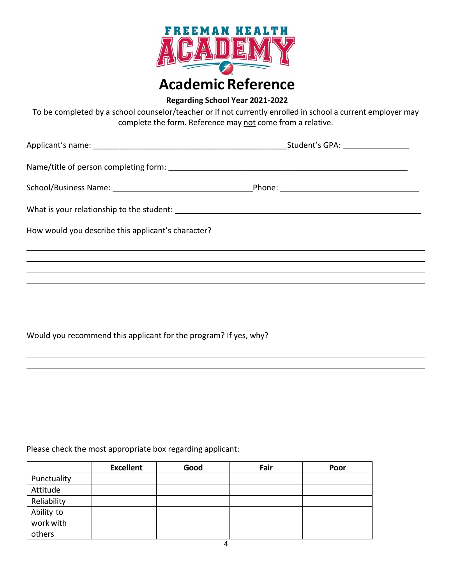

# **Regarding School Year 2021-2022**

To be completed by a school counselor/teacher or if not currently enrolled in school a current employer may complete the form. Reference may not come from a relative.

|                                                    | Student's GPA: _________________ |  |  |
|----------------------------------------------------|----------------------------------|--|--|
|                                                    |                                  |  |  |
|                                                    |                                  |  |  |
|                                                    |                                  |  |  |
| How would you describe this applicant's character? |                                  |  |  |
|                                                    |                                  |  |  |
|                                                    |                                  |  |  |

# Would you recommend this applicant for the program? If yes, why?

## Please check the most appropriate box regarding applicant:

|             | <b>Excellent</b> | Good | Fair | Poor |
|-------------|------------------|------|------|------|
| Punctuality |                  |      |      |      |
| Attitude    |                  |      |      |      |
| Reliability |                  |      |      |      |
| Ability to  |                  |      |      |      |
| work with   |                  |      |      |      |
| others      |                  |      |      |      |